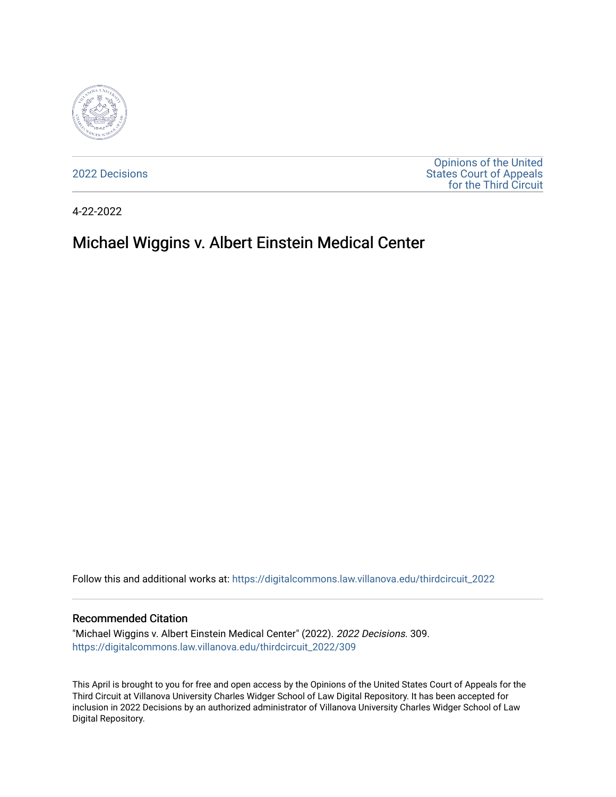

[2022 Decisions](https://digitalcommons.law.villanova.edu/thirdcircuit_2022)

[Opinions of the United](https://digitalcommons.law.villanova.edu/thirdcircuit)  [States Court of Appeals](https://digitalcommons.law.villanova.edu/thirdcircuit)  [for the Third Circuit](https://digitalcommons.law.villanova.edu/thirdcircuit) 

4-22-2022

# Michael Wiggins v. Albert Einstein Medical Center

Follow this and additional works at: [https://digitalcommons.law.villanova.edu/thirdcircuit\\_2022](https://digitalcommons.law.villanova.edu/thirdcircuit_2022?utm_source=digitalcommons.law.villanova.edu%2Fthirdcircuit_2022%2F309&utm_medium=PDF&utm_campaign=PDFCoverPages) 

#### Recommended Citation

"Michael Wiggins v. Albert Einstein Medical Center" (2022). 2022 Decisions. 309. [https://digitalcommons.law.villanova.edu/thirdcircuit\\_2022/309](https://digitalcommons.law.villanova.edu/thirdcircuit_2022/309?utm_source=digitalcommons.law.villanova.edu%2Fthirdcircuit_2022%2F309&utm_medium=PDF&utm_campaign=PDFCoverPages)

This April is brought to you for free and open access by the Opinions of the United States Court of Appeals for the Third Circuit at Villanova University Charles Widger School of Law Digital Repository. It has been accepted for inclusion in 2022 Decisions by an authorized administrator of Villanova University Charles Widger School of Law Digital Repository.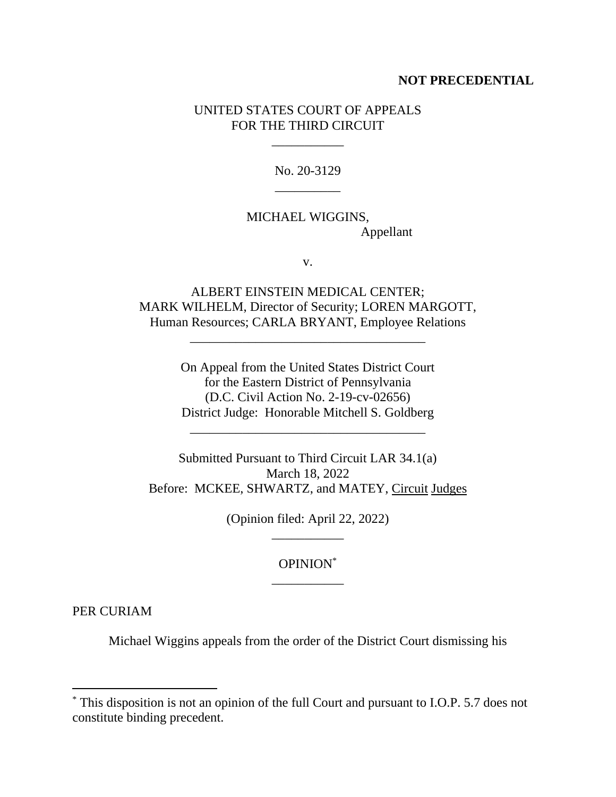#### **NOT PRECEDENTIAL**

## UNITED STATES COURT OF APPEALS FOR THE THIRD CIRCUIT

\_\_\_\_\_\_\_\_\_\_\_

No. 20-3129 \_\_\_\_\_\_\_\_\_\_

# MICHAEL WIGGINS, Appellant

v.

ALBERT EINSTEIN MEDICAL CENTER; MARK WILHELM, Director of Security; LOREN MARGOTT, Human Resources; CARLA BRYANT, Employee Relations

\_\_\_\_\_\_\_\_\_\_\_\_\_\_\_\_\_\_\_\_\_\_\_\_\_\_\_\_\_\_\_\_\_\_\_\_

On Appeal from the United States District Court for the Eastern District of Pennsylvania (D.C. Civil Action No. 2-19-cv-02656) District Judge: Honorable Mitchell S. Goldberg

\_\_\_\_\_\_\_\_\_\_\_\_\_\_\_\_\_\_\_\_\_\_\_\_\_\_\_\_\_\_\_\_\_\_\_\_

Submitted Pursuant to Third Circuit LAR 34.1(a) March 18, 2022 Before: MCKEE, SHWARTZ, and MATEY, Circuit Judges

> (Opinion filed: April 22, 2022) \_\_\_\_\_\_\_\_\_\_\_

> > OPINION\* \_\_\_\_\_\_\_\_\_\_\_

PER CURIAM

Michael Wiggins appeals from the order of the District Court dismissing his

<sup>\*</sup> This disposition is not an opinion of the full Court and pursuant to I.O.P. 5.7 does not constitute binding precedent.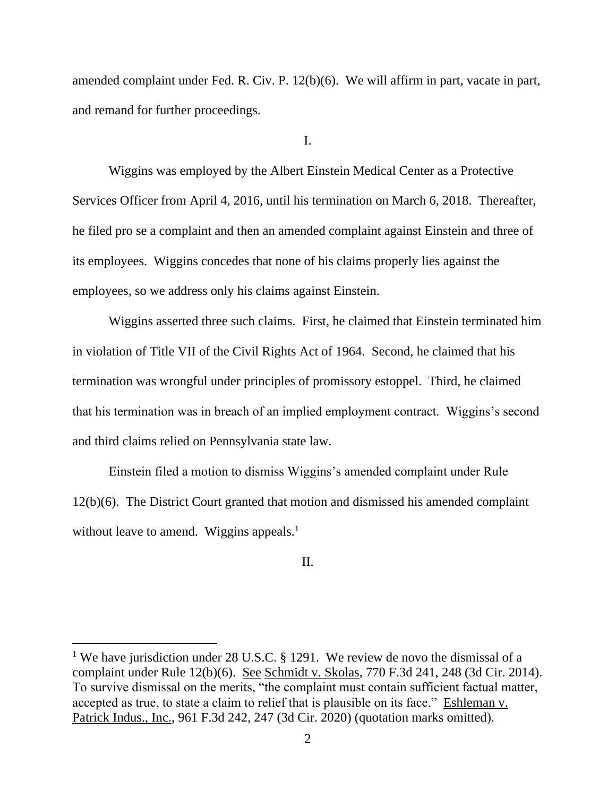amended complaint under Fed. R. Civ. P. 12(b)(6). We will affirm in part, vacate in part, and remand for further proceedings.

I.

Wiggins was employed by the Albert Einstein Medical Center as a Protective Services Officer from April 4, 2016, until his termination on March 6, 2018. Thereafter, he filed pro se a complaint and then an amended complaint against Einstein and three of its employees. Wiggins concedes that none of his claims properly lies against the employees, so we address only his claims against Einstein.

Wiggins asserted three such claims. First, he claimed that Einstein terminated him in violation of Title VII of the Civil Rights Act of 1964. Second, he claimed that his termination was wrongful under principles of promissory estoppel. Third, he claimed that his termination was in breach of an implied employment contract. Wiggins's second and third claims relied on Pennsylvania state law.

Einstein filed a motion to dismiss Wiggins's amended complaint under Rule 12(b)(6). The District Court granted that motion and dismissed his amended complaint without leave to amend. Wiggins appeals.<sup>1</sup>

### II.

<sup>&</sup>lt;sup>1</sup> We have jurisdiction under 28 U.S.C. § 1291. We review de novo the dismissal of a complaint under Rule 12(b)(6). See Schmidt v. Skolas, 770 F.3d 241, 248 (3d Cir. 2014). To survive dismissal on the merits, "the complaint must contain sufficient factual matter, accepted as true, to state a claim to relief that is plausible on its face." Eshleman v. Patrick Indus., Inc., 961 F.3d 242, 247 (3d Cir. 2020) (quotation marks omitted).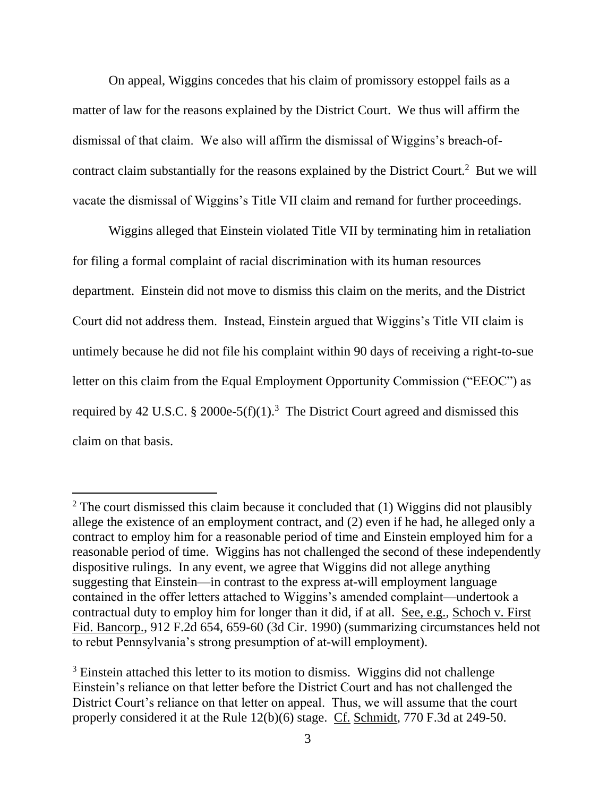On appeal, Wiggins concedes that his claim of promissory estoppel fails as a matter of law for the reasons explained by the District Court. We thus will affirm the dismissal of that claim. We also will affirm the dismissal of Wiggins's breach-ofcontract claim substantially for the reasons explained by the District Court.<sup>2</sup> But we will vacate the dismissal of Wiggins's Title VII claim and remand for further proceedings.

Wiggins alleged that Einstein violated Title VII by terminating him in retaliation for filing a formal complaint of racial discrimination with its human resources department. Einstein did not move to dismiss this claim on the merits, and the District Court did not address them. Instead, Einstein argued that Wiggins's Title VII claim is untimely because he did not file his complaint within 90 days of receiving a right-to-sue letter on this claim from the Equal Employment Opportunity Commission ("EEOC") as required by 42 U.S.C. § 2000e-5(f)(1).<sup>3</sup> The District Court agreed and dismissed this claim on that basis.

 $2$  The court dismissed this claim because it concluded that (1) Wiggins did not plausibly allege the existence of an employment contract, and (2) even if he had, he alleged only a contract to employ him for a reasonable period of time and Einstein employed him for a reasonable period of time. Wiggins has not challenged the second of these independently dispositive rulings. In any event, we agree that Wiggins did not allege anything suggesting that Einstein—in contrast to the express at-will employment language contained in the offer letters attached to Wiggins's amended complaint—undertook a contractual duty to employ him for longer than it did, if at all. See, e.g., Schoch v. First Fid. Bancorp., 912 F.2d 654, 659-60 (3d Cir. 1990) (summarizing circumstances held not to rebut Pennsylvania's strong presumption of at-will employment).

<sup>&</sup>lt;sup>3</sup> Einstein attached this letter to its motion to dismiss. Wiggins did not challenge Einstein's reliance on that letter before the District Court and has not challenged the District Court's reliance on that letter on appeal. Thus, we will assume that the court properly considered it at the Rule 12(b)(6) stage. Cf. Schmidt, 770 F.3d at 249-50.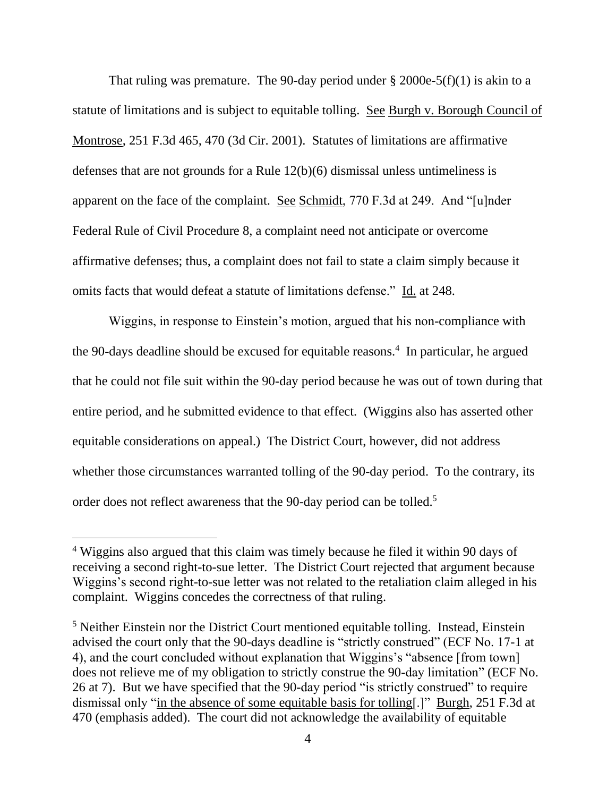That ruling was premature. The 90-day period under  $\S 2000e-5(f)(1)$  is akin to a statute of limitations and is subject to equitable tolling. See Burgh v. Borough Council of Montrose, 251 F.3d 465, 470 (3d Cir. 2001). Statutes of limitations are affirmative defenses that are not grounds for a Rule 12(b)(6) dismissal unless untimeliness is apparent on the face of the complaint. See Schmidt, 770 F.3d at 249. And "[u]nder Federal Rule of Civil Procedure 8, a complaint need not anticipate or overcome affirmative defenses; thus, a complaint does not fail to state a claim simply because it omits facts that would defeat a statute of limitations defense." Id. at 248.

Wiggins, in response to Einstein's motion, argued that his non-compliance with the 90-days deadline should be excused for equitable reasons.<sup>4</sup> In particular, he argued that he could not file suit within the 90-day period because he was out of town during that entire period, and he submitted evidence to that effect. (Wiggins also has asserted other equitable considerations on appeal.) The District Court, however, did not address whether those circumstances warranted tolling of the 90-day period. To the contrary, its order does not reflect awareness that the 90-day period can be tolled.<sup>5</sup>

<sup>&</sup>lt;sup>4</sup> Wiggins also argued that this claim was timely because he filed it within 90 days of receiving a second right-to-sue letter. The District Court rejected that argument because Wiggins's second right-to-sue letter was not related to the retaliation claim alleged in his complaint. Wiggins concedes the correctness of that ruling.

<sup>&</sup>lt;sup>5</sup> Neither Einstein nor the District Court mentioned equitable tolling. Instead, Einstein advised the court only that the 90-days deadline is "strictly construed" (ECF No. 17-1 at 4), and the court concluded without explanation that Wiggins's "absence [from town] does not relieve me of my obligation to strictly construe the 90-day limitation" (ECF No. 26 at 7). But we have specified that the 90-day period "is strictly construed" to require dismissal only "in the absence of some equitable basis for tolling[.]" Burgh, 251 F.3d at 470 (emphasis added). The court did not acknowledge the availability of equitable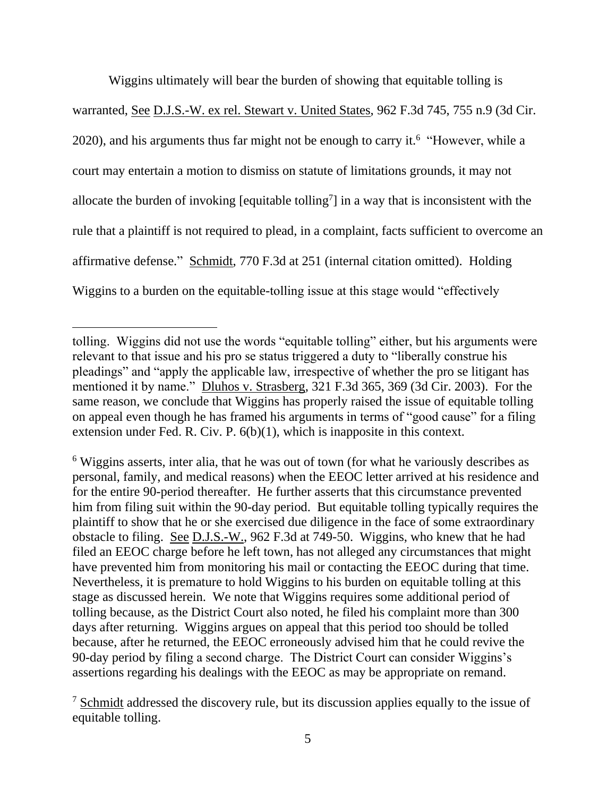Wiggins ultimately will bear the burden of showing that equitable tolling is warranted, See D.J.S.-W. ex rel. Stewart v. United States, 962 F.3d 745, 755 n.9 (3d Cir.  $2020$ ), and his arguments thus far might not be enough to carry it.<sup>6</sup> "However, while a court may entertain a motion to dismiss on statute of limitations grounds, it may not allocate the burden of invoking [equitable tolling<sup>7</sup>] in a way that is inconsistent with the rule that a plaintiff is not required to plead, in a complaint, facts sufficient to overcome an affirmative defense." Schmidt, 770 F.3d at 251 (internal citation omitted). Holding Wiggins to a burden on the equitable-tolling issue at this stage would "effectively

<sup>6</sup> Wiggins asserts, inter alia, that he was out of town (for what he variously describes as personal, family, and medical reasons) when the EEOC letter arrived at his residence and for the entire 90-period thereafter. He further asserts that this circumstance prevented him from filing suit within the 90-day period. But equitable tolling typically requires the plaintiff to show that he or she exercised due diligence in the face of some extraordinary obstacle to filing. See D.J.S.-W., 962 F.3d at 749-50. Wiggins, who knew that he had filed an EEOC charge before he left town, has not alleged any circumstances that might have prevented him from monitoring his mail or contacting the EEOC during that time. Nevertheless, it is premature to hold Wiggins to his burden on equitable tolling at this stage as discussed herein. We note that Wiggins requires some additional period of tolling because, as the District Court also noted, he filed his complaint more than 300 days after returning. Wiggins argues on appeal that this period too should be tolled because, after he returned, the EEOC erroneously advised him that he could revive the 90-day period by filing a second charge. The District Court can consider Wiggins's assertions regarding his dealings with the EEOC as may be appropriate on remand.

tolling. Wiggins did not use the words "equitable tolling" either, but his arguments were relevant to that issue and his pro se status triggered a duty to "liberally construe his pleadings" and "apply the applicable law, irrespective of whether the pro se litigant has mentioned it by name." Dluhos v. Strasberg, 321 F.3d 365, 369 (3d Cir. 2003). For the same reason, we conclude that Wiggins has properly raised the issue of equitable tolling on appeal even though he has framed his arguments in terms of "good cause" for a filing extension under Fed. R. Civ. P. 6(b)(1), which is inapposite in this context.

<sup>&</sup>lt;sup>7</sup> Schmidt addressed the discovery rule, but its discussion applies equally to the issue of equitable tolling.